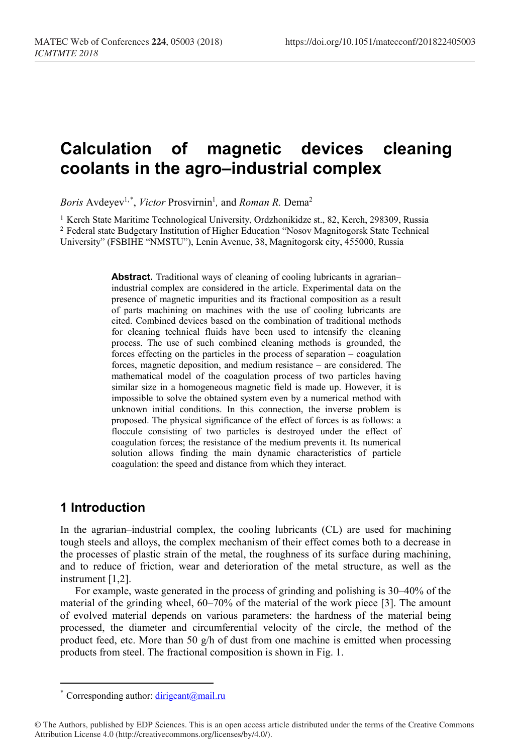# **Calculation of magnetic devices cleaning coolants in the agro–industrial complex**

*Boris* Avdeyev<sup>1,[\\*](#page-0-0)</sup>, *Victor* Prosvirnin<sup>1</sup>, and *Roman R*. Dema<sup>2</sup>

<sup>1</sup> Kerch State Maritime Technological University, Ordzhonikidze st., 82, Kerch, 298309, Russia <sup>2</sup> Federal state Budgetary Institution of Higher Education "Nosov Magnitogorsk State Technical University" (FSBIHE "NMSTU"), Lenin Avenue, 38, Magnitogorsk city, 455000, Russia

> Abstract. Traditional ways of cleaning of cooling lubricants in agrarian– industrial complex are considered in the article. Experimental data on the presence of magnetic impurities and its fractional composition as a result of parts machining on machines with the use of cooling lubricants are cited. Combined devices based on the combination of traditional methods for cleaning technical fluids have been used to intensify the cleaning process. The use of such combined cleaning methods is grounded, the forces effecting on the particles in the process of separation – coagulation forces, magnetic deposition, and medium resistance – are considered. The mathematical model of the coagulation process of two particles having similar size in a homogeneous magnetic field is made up. However, it is impossible to solve the obtained system even by a numerical method with unknown initial conditions. In this connection, the inverse problem is proposed. The physical significance of the effect of forces is as follows: a floccule consisting of two particles is destroyed under the effect of coagulation forces; the resistance of the medium prevents it. Its numerical solution allows finding the main dynamic characteristics of particle coagulation: the speed and distance from which they interact.

## **1 Introduction**

 $\overline{a}$ 

In the agrarian–industrial complex, the cooling lubricants (CL) are used for machining tough steels and alloys, the complex mechanism of their effect comes both to a decrease in the processes of plastic strain of the metal, the roughness of its surface during machining, and to reduce of friction, wear and deterioration of the metal structure, as well as the instrument [1,2].

For example, waste generated in the process of grinding and polishing is 30–40% of the material of the grinding wheel, 60–70% of the material of the work piece [3]. The amount of evolved material depends on various parameters: the hardness of the material being processed, the diameter and circumferential velocity of the circle, the method of the product feed, etc. More than 50  $g/h$  of dust from one machine is emitted when processing products from steel. The fractional composition is shown in Fig. 1.

Corresponding author: [dirigeant@mail.ru](mailto:dirigeant@mail.ru)

<span id="page-0-0"></span><sup>©</sup> The Authors, published by EDP Sciences. This is an open access article distributed under the terms of the Creative Commons Attribution License 4.0 (http://creativecommons.org/licenses/by/4.0/).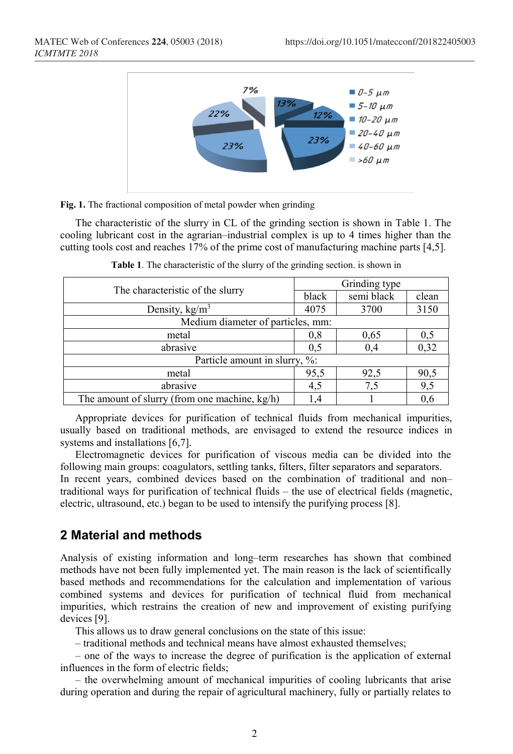

**Fig. 1.** The fractional composition of metal powder when grinding

The characteristic of the slurry in CL of the grinding section is shown in Table 1. The cooling lubricant cost in the agrarian–industrial complex is up to 4 times higher than the cutting tools cost and reaches 17% of the prime cost of manufacturing machine parts [4,5].

| The characteristic of the slurry              | Grinding type |            |       |
|-----------------------------------------------|---------------|------------|-------|
|                                               | black         | semi black | clean |
| Density, $kg/m3$                              | 4075          | 3700       | 3150  |
| Medium diameter of particles, mm:             |               |            |       |
| metal                                         | 0,8           | 0,65       | 0,5   |
| abrasive                                      | 0.5           | 0,4        | 0,32  |
| Particle amount in slurry, %:                 |               |            |       |
| metal                                         | 95,5          | 92,5       | 90,5  |
| abrasive                                      | 4,5           | 7,5        | 9,5   |
| The amount of slurry (from one machine, kg/h) |               |            | 0,6   |

**Table 1**. The characteristic of the slurry of the grinding section. is shown in

Appropriate devices for purification of technical fluids from mechanical impurities, usually based on traditional methods, are envisaged to extend the resource indices in systems and installations [6,7].

Electromagnetic devices for purification of viscous media can be divided into the following main groups: coagulators, settling tanks, filters, filter separators and separators.

In recent years, combined devices based on the combination of traditional and non– traditional ways for purification of technical fluids – the use of electrical fields (magnetic, electric, ultrasound, etc.) began to be used to intensify the purifying process [8].

### **2 Material and methods**

Analysis of existing information and long–term researches has shown that combined methods have not been fully implemented yet. The main reason is the lack of scientifically based methods and recommendations for the calculation and implementation of various combined systems and devices for purification of technical fluid from mechanical impurities, which restrains the creation of new and improvement of existing purifying devices [9].

This allows us to draw general conclusions on the state of this issue:

– traditional methods and technical means have almost exhausted themselves;

– one of the ways to increase the degree of purification is the application of external influences in the form of electric fields;

– the overwhelming amount of mechanical impurities of cooling lubricants that arise during operation and during the repair of agricultural machinery, fully or partially relates to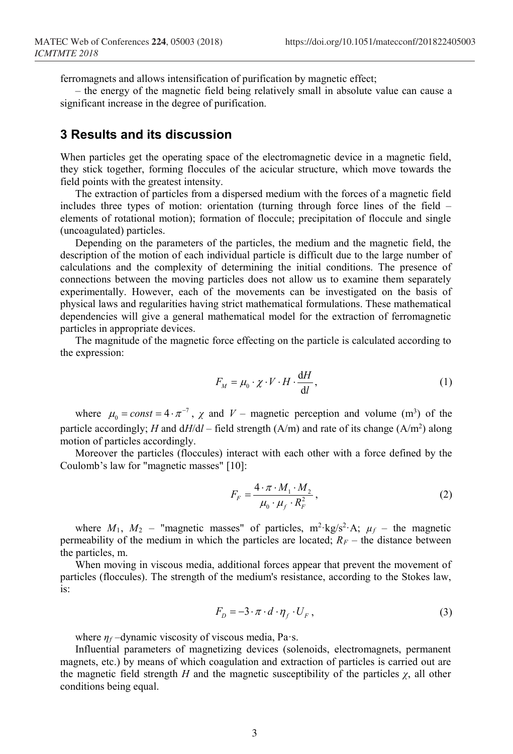ferromagnets and allows intensification of purification by magnetic effect;

– the energy of the magnetic field being relatively small in absolute value can cause a significant increase in the degree of purification.

#### **3 Results and its discussion**

When particles get the operating space of the electromagnetic device in a magnetic field, they stick together, forming floccules of the acicular structure, which move towards the field points with the greatest intensity.

The extraction of particles from a dispersed medium with the forces of a magnetic field includes three types of motion: orientation (turning through force lines of the field – elements of rotational motion); formation of floccule; precipitation of floccule and single (uncoagulated) particles.

Depending on the parameters of the particles, the medium and the magnetic field, the description of the motion of each individual particle is difficult due to the large number of calculations and the complexity of determining the initial conditions. The presence of connections between the moving particles does not allow us to examine them separately experimentally. However, each of the movements can be investigated on the basis of physical laws and regularities having strict mathematical formulations. These mathematical dependencies will give a general mathematical model for the extraction of ferromagnetic particles in appropriate devices.

The magnitude of the magnetic force effecting on the particle is calculated according to the expression:

$$
F_M = \mu_0 \cdot \chi \cdot V \cdot H \cdot \frac{dH}{dl},\tag{1}
$$

where  $\mu_0 = const = 4 \cdot \pi^{-7}$ ,  $\chi$  and  $V$  – magnetic perception and volume (m<sup>3</sup>) of the particle accordingly; *H* and d*H*/d*l* – field strength (A/m) and rate of its change (A/m<sup>2</sup>) along motion of particles accordingly.

Moreover the particles (floccules) interact with each other with a force defined by the Coulomb's law for "magnetic masses" [10]:

$$
F_F = \frac{4 \cdot \pi \cdot M_1 \cdot M_2}{\mu_0 \cdot \mu_f \cdot R_F^2},\tag{2}
$$

where  $M_1$ ,  $M_2$  – "magnetic masses" of particles, m<sup>2</sup>·kg/s<sup>2</sup>·A;  $\mu_f$  – the magnetic permeability of the medium in which the particles are located;  $R_F$  – the distance between the particles, m.

When moving in viscous media, additional forces appear that prevent the movement of particles (floccules). The strength of the medium's resistance, according to the Stokes law, is:

$$
F_D = -3 \cdot \pi \cdot d \cdot \eta_f \cdot U_F, \qquad (3)
$$

where *η<sup>f</sup>* –dynamic viscosity of viscous media, Pa·s.

Influential parameters of magnetizing devices (solenoids, electromagnets, permanent magnets, etc.) by means of which coagulation and extraction of particles is carried out are the magnetic field strength *H* and the magnetic susceptibility of the particles  $\chi$ , all other conditions being equal.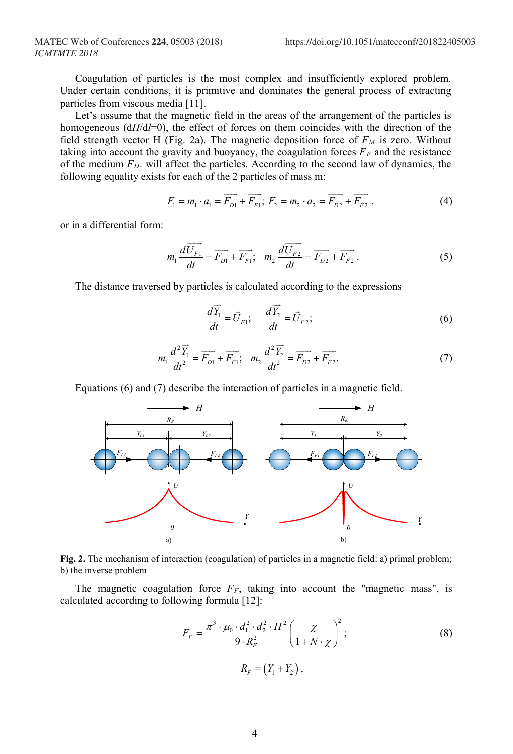Coagulation of particles is the most complex and insufficiently explored problem. Under certain conditions, it is primitive and dominates the general process of extracting particles from viscous media [11].

Let's assume that the magnetic field in the areas of the arrangement of the particles is homogeneous ( $dH/d$ *=*0), the effect of forces on them coincides with the direction of the field strength vector H (Fig. 2a). The magnetic deposition force of  $F<sub>M</sub>$  is zero. Without taking into account the gravity and buoyancy, the coagulation forces  $F_F$  and the resistance of the medium  $F<sub>D</sub>$ . will affect the particles. According to the second law of dynamics, the following equality exists for each of the 2 particles of mass m:

$$
F_1 = m_1 \cdot a_1 = \overrightarrow{F_{D1}} + \overrightarrow{F_{F1}}; \ F_2 = m_2 \cdot a_2 = \overrightarrow{F_{D2}} + \overrightarrow{F_{F2}}.
$$
 (4)

or in a differential form:

$$
m_1 \frac{d \overrightarrow{U_{F1}}}{dt} = \overrightarrow{F_{D1}} + \overrightarrow{F_{F1}}; \quad m_2 \frac{d \overrightarrow{U_{F2}}}{dt} = \overrightarrow{F_{D2}} + \overrightarrow{F_{F2}}.
$$
 (5)

The distance traversed by particles is calculated according to the expressions

$$
\frac{d\vec{Y}_1}{dt} = \vec{U}_{F1}; \quad \frac{d\vec{Y}_2}{dt} = \vec{U}_{F2};
$$
\n(6)

$$
m_1 \frac{d^2 \overrightarrow{Y}_1}{dt^2} = \overrightarrow{F_{D1}} + \overrightarrow{F_{F1}}; \quad m_2 \frac{d^2 \overrightarrow{Y}_2}{dt^2} = \overrightarrow{F_{D2}} + \overrightarrow{F_{F2}}.
$$
 (7)

Equations (6) and (7) describe the interaction of particles in a magnetic field.



**Fig. 2.** The mechanism of interaction (coagulation) of particles in a magnetic field: a) primal problem; b) the inverse problem

The magnetic coagulation force  $F_F$ , taking into account the "magnetic mass", is calculated according to following formula [12]:

$$
F_F = \frac{\pi^3 \cdot \mu_0 \cdot d_1^2 \cdot d_2^2 \cdot H^2}{9 \cdot R_F^2} \left(\frac{\chi}{1 + N \cdot \chi}\right)^2; \tag{8}
$$
  

$$
R_F = (Y_1 + Y_2).
$$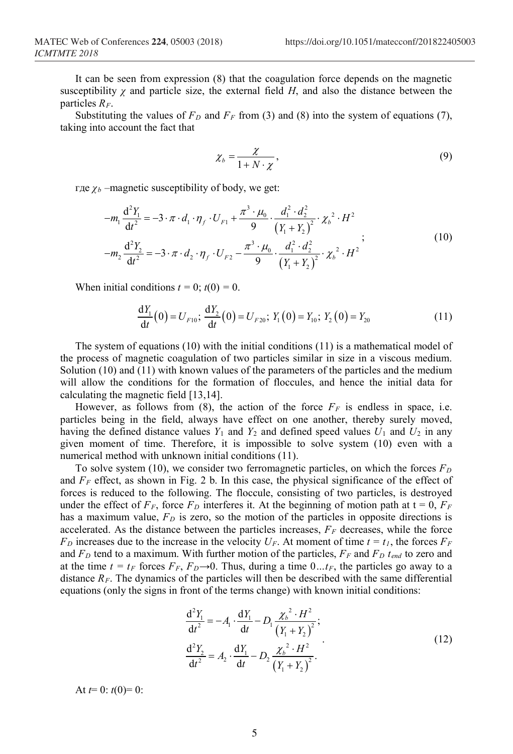It can be seen from expression (8) that the coagulation force depends on the magnetic susceptibility  $\gamma$  and particle size, the external field *H*, and also the distance between the particles  $R_F$ .

Substituting the values of  $F_D$  and  $F_F$  from (3) and (8) into the system of equations (7), taking into account the fact that

$$
\chi_b = \frac{\chi}{1 + N \cdot \chi},\tag{9}
$$

где *χ<sup>b</sup>* –magnetic susceptibility of body, we get:

$$
-m_1 \frac{d^2 Y_1}{dt^2} = -3 \cdot \pi \cdot d_1 \cdot \eta_f \cdot U_{F1} + \frac{\pi^3 \cdot \mu_0}{9} \cdot \frac{d_1^2 \cdot d_2^2}{(Y_1 + Y_2)^2} \cdot \chi_b^2 \cdot H^2
$$
  

$$
-m_2 \frac{d^2 Y_2}{dt^2} = -3 \cdot \pi \cdot d_2 \cdot \eta_f \cdot U_{F2} - \frac{\pi^3 \cdot \mu_0}{9} \cdot \frac{d_1^2 \cdot d_2^2}{(Y_1 + Y_2)^2} \cdot \chi_b^2 \cdot H^2
$$
 (10)

When initial conditions  $t = 0$ ;  $t(0) = 0$ .

$$
\frac{dY_1}{dt}(0) = U_{F10}; \frac{dY_2}{dt}(0) = U_{F20}; Y_1(0) = Y_{10}; Y_2(0) = Y_{20}
$$
\n(11)

The system of equations (10) with the initial conditions (11) is a mathematical model of the process of magnetic coagulation of two particles similar in size in a viscous medium. Solution (10) and (11) with known values of the parameters of the particles and the medium will allow the conditions for the formation of floccules, and hence the initial data for calculating the magnetic field [13,14].

However, as follows from (8), the action of the force  $F_F$  is endless in space, i.e. particles being in the field, always have effect on one another, thereby surely moved, having the defined distance values  $Y_1$  and  $Y_2$  and defined speed values  $U_1$  and  $U_2$  in any given moment of time. Therefore, it is impossible to solve system (10) even with a numerical method with unknown initial conditions (11).

To solve system (10), we consider two ferromagnetic particles, on which the forces  $F<sub>D</sub>$ and  $F_F$  effect, as shown in Fig. 2 b. In this case, the physical significance of the effect of forces is reduced to the following. The floccule, consisting of two particles, is destroyed under the effect of  $F_F$ , force  $F_D$  interferes it. At the beginning of motion path at  $t = 0$ ,  $F_F$ has a maximum value,  $F<sub>D</sub>$  is zero, so the motion of the particles in opposite directions is accelerated. As the distance between the particles increases, *FF* decreases, while the force  $F_D$  increases due to the increase in the velocity  $U_F$ . At moment of time  $t = t_I$ , the forces  $F_F$ and  $F_D$  tend to a maximum. With further motion of the particles,  $F_F$  and  $F_D$   $t_{end}$  to zero and at the time  $t = t_F$  forces  $F_F$ ,  $F_D \rightarrow 0$ . Thus, during a time  $0 \dots t_F$ , the particles go away to a distance  $R_F$ . The dynamics of the particles will then be described with the same differential equations (only the signs in front of the terms change) with known initial conditions:

$$
\frac{d^2Y_1}{dt^2} = -A_1 \cdot \frac{dY_1}{dt} - D_1 \frac{\chi_b^2 \cdot H^2}{(Y_1 + Y_2)^2};
$$
  
\n
$$
\frac{d^2Y_2}{dt^2} = A_2 \cdot \frac{dY_1}{dt} - D_2 \frac{\chi_b^2 \cdot H^2}{(Y_1 + Y_2)^2}.
$$
\n(12)

At  $t=0$ :  $t(0)=0$ :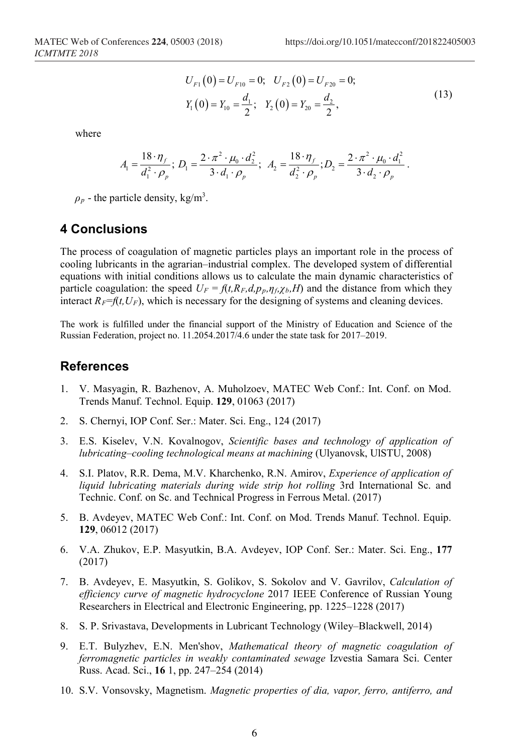$$
U_{F1}(0) = U_{F10} = 0; \quad U_{F2}(0) = U_{F20} = 0; Y_1(0) = Y_{10} = \frac{d_1}{2}; \quad Y_2(0) = Y_{20} = \frac{d_2}{2},
$$
 (13)

where

$$
A_1 = \frac{18 \cdot \eta_f}{d_1^2 \cdot \rho_p}; \ D_1 = \frac{2 \cdot \pi^2 \cdot \mu_0 \cdot d_2^2}{3 \cdot d_1 \cdot \rho_p}; \ A_2 = \frac{18 \cdot \eta_f}{d_2^2 \cdot \rho_p}; \ D_2 = \frac{2 \cdot \pi^2 \cdot \mu_0 \cdot d_1^2}{3 \cdot d_2 \cdot \rho_p}.
$$

 $\rho_p$  - the particle density, kg/m<sup>3</sup>.

#### **4 Conclusions**

The process of coagulation of magnetic particles plays an important role in the process of cooling lubricants in the agrarian–industrial complex. The developed system of differential equations with initial conditions allows us to calculate the main dynamic characteristics of particle coagulation: the speed  $U_F = f(t, R_F, d, p_p, \eta_f, \chi_b, H)$  and the distance from which they interact  $R_F = f(t, U_F)$ , which is necessary for the designing of systems and cleaning devices.

The work is fulfilled under the financial support of the Ministry of Education and Science of the Russian Federation, project no. 11.2054.2017/4.6 under the state task for 2017–2019.

#### **References**

- 1. V. Masyagin, R. Bazhenov, A. Muholzoev, MATEC Web Conf.: Int. Conf. on Mod. Trends Manuf. Technol. Equip. **129**, 01063 (2017)
- 2. S. Chernyi, IOP Conf. Ser.: Mater. Sci. Eng., 124 (2017)
- 3. E.S. Kiselev, V.N. Kovalnogov, *Scientific bases and technology of application of lubricating–cooling technological means at machining* (Ulyanovsk, UlSTU, 2008)
- 4. S.I. Platov, R.R. Dema, M.V. Kharchenko, R.N. Amirov, *Experience of application of liquid lubricating materials during wide strip hot rolling* 3rd International Sc. and Technic. Conf. on Sc. and Technical Progress in Ferrous Metal. (2017)
- 5. B. Avdeyev, MATEC Web Conf.: Int. Conf. on Mod. Trends Manuf. Technol. Equip. **129**, 06012 (2017)
- 6. V.A. Zhukov, E.P. Masyutkin, B.A. Avdeyev, IOP Conf. Ser.: Mater. Sci. Eng., **177** (2017)
- 7. B. Avdeyev, E. Masyutkin, S. Golikov, S. Sokolov and V. Gavrilov, *Calculation of efficiency curve of magnetic hydrocyclone* 2017 IEEE Conference of Russian Young Researchers in Electrical and Electronic Engineering, pp. 1225–1228 (2017)
- 8. S. P. Srivastava, Developments in Lubricant Technology (Wiley–Blackwell, 2014)
- 9. E.T. Bulyzhev, E.N. Men'shov, *Mathematical theory of magnetic coagulation of ferromagnetic particles in weakly contaminated sewage* Izvestia Samara Sci. Center Russ. Acad. Sci., **16** 1, pp. 247–254 (2014)
- 10. S.V. Vonsovsky, Magnetism. *Magnetic properties of dia, vapor, ferro, antiferro, and*